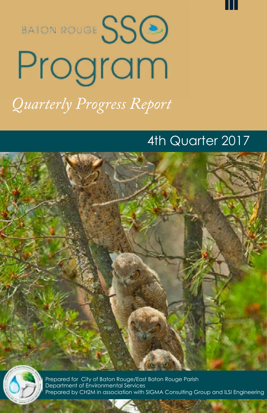



## 4th Quarter 2017





Prepared for City of Baton Rouge/East Baton Rouge Parish Department of Environmental Services Prepared by CH2M in association with SIGMA Consulting Group and ILSI Engineering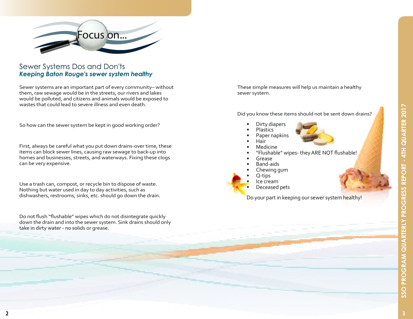

#### Sewer Systems Dos and Don'ts *Keeping Baton Rouge's sewer system healthy*

Sewer systems are an important part of every community– without them, raw sewage would be in the streets, our rivers and lakes would be polluted, and citizens and animals would be exposed to wastes that could lead to severe illness and even death.

So how can the sewer system be kept in good working order?

First, always be careful what you put down drains-over time, these items can block sewer lines, causing raw sewage to back-up into homes and businesses, streets, and waterways. Fixing these clogs can be very expensive.

Use a trash can, compost, or recycle bin to dispose of waste. Nothing but water used in day to day activities, such as dishwashers, restrooms, sinks, etc. should go down the drain.

Do not flush "flushable" wipes which do not disintegrate quickly down the drain and into the sewer system. Sink drains should only take in dirty water - no solids or grease.

These simple measures will help us maintain a healthy sewer system.

Did you know these items should not be sent down drains?

- Dirty diapers
	- Plastics<br>Paper napkins
- 
- 
- 
- Paper napkins Hair Medicine "Flushable" wipes- they ARE NOT flushable! Grease Band-aids
- 
- 
- Chewing gum
- Q-tips
- lce cream
	- Deceased pets

Do your part in keeping our sewer system healthy!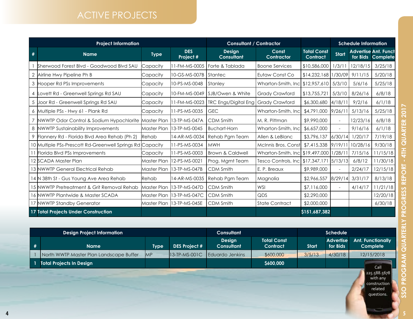# ACTIVE PROJECTS

|   | <b>Project Information</b>                                | <b>Consultant / Contractor</b> |                            |                                      | <b>Schedule Information</b>                  |                                |              |          |                                                  |
|---|-----------------------------------------------------------|--------------------------------|----------------------------|--------------------------------------|----------------------------------------------|--------------------------------|--------------|----------|--------------------------------------------------|
| # | <b>Name</b>                                               | <b>Type</b>                    | <b>DES</b><br>Project #    | <b>Design</b><br><b>Consultant</b>   | Const<br>Contractor                          | <b>Total Const</b><br>Contract | <b>Start</b> |          | <b>Advertise Ant. Funct</b><br>for Bids Complete |
|   | Sherwood Forest Blvd - Goodwood Blvd SAU                  | Capacity                       | 11-FM-MS-0005              | Forte & Tablada                      | <b>Boone Services</b>                        | \$10,586,000                   | 1/3/11       | 12/18/15 | 3/25/18                                          |
| 2 | Airline Hwy Pipeline Ph B                                 | Capacity                       | 10-GS-MS-007B Stantec      |                                      | Eutaw Const Co                               | $$14,232,168$  1/30/09         |              | 9/11/15  | 5/20/18                                          |
| 3 | Hooper Rd PSs Improvements                                | Capacity                       | 10-PS-MS-0048              | Stanley                              | Wharton-Smith, Inc.                          | \$12,957,610   5/3/10          |              | 5/6/16   | 5/25/18                                          |
|   | Lovett Rd - Greenwell Springs Rd SAU                      | Capacity                       | 10-FM-MS-0049              | SJB/Owen & White                     | <b>Grady Crawford</b>                        | \$13,755,721                   | 5/3/10       | 8/26/16  | 6/8/18                                           |
| 5 | Joor Rd - Greenwell Springs Rd SAU                        | Capacity                       |                            | 11-FM-MS-0023   TRC Engs/Digital Eng | <b>Grady Crawford</b>                        | \$6,300,680 4/18/11            |              | 9/2/16   | 6/1/18                                           |
| 6 | Multiple PSs - Hwy 61 - Plank Rd                          | Capacity                       | 11-PS-MS-0035              | <b>GEC</b>                           | Wharton-Smith, Inc.                          | \$4,791,000                    | 9/26/11      | 5/13/16  | 5/25/18                                          |
|   | NWWTP Odor Control & Sodium Hypochlorite                  | Master Plan                    | 13-TP-MS-047A              | <b>CDM Smith</b>                     | M. R. Pittman                                | \$9,990,000                    | $\bar{a}$    | 12/23/16 | 6/8/18                                           |
| 8 | NWWTP Sustainability Improvements                         | Master Plan                    | 13-TP-MS-0045              | <b>Buchart-Horn</b>                  | Wharton-Smith, Inc.                          | \$6,657,000                    |              | 9/16/16  | 6/1/18                                           |
|   | Flannery Rd - Florida Blvd Area Rehab (Ph 2)              | Rehab                          | 14-AR-MS-0034              | Rehab Pgm Team                       | Allen & LeBlanc                              | \$3,796,137                    | 6/30/14      | 1/20/17  | 7/19/18                                          |
|   | 10 Multiple PSs-Prescott Rd-Greenwell Springs Rd Capacity |                                | 11-PS-MS-0034              | <b>MWH</b>                           | McInnis Bros, Const                          | \$7,415,338 9/19/11            |              | 10/28/16 | 9/30/18                                          |
|   | Florida Blvd PSs Improvements                             | Capacity                       | 11-PS-MS-0003              | <b>Brown &amp; Caldwell</b>          | Wharton-Smith, Incl                          | \$19,497,000 1/28/1            |              | 7/15/16  | 11/15/18                                         |
|   | 12 ISCADA Master Plan                                     |                                | Master Plan 112-PS-MS-0021 | Prog. Mgmt Team                      | Tesco Controls, Inc   \$17,347,171   5/13/13 |                                |              | 6/8/12   | 11/30/18                                         |
|   | 13 NWWTP General Electrical Rehab                         | Master Plan                    | 13-TP-MS-047B              | CDM Smith                            | E. P. Breaux                                 | \$9,989,000                    |              | 2/24/17  | 12/15/18                                         |
|   | 14 N 38th St - Gus Young Ave Area Rehab                   | Rehab                          | 14-AR-MS-0035              | Rehab Pgm Team                       | Magnolia                                     | \$2,966,557                    | 8/29/14      | 3/31/17  | 8/13/18                                          |
|   | 15 NWWTP Pretreatment & Grit Removal Rehab                |                                | Master Plan 113-TP-MS-047D | CDM Smith                            | <b>WSI</b>                                   | \$7,116,000                    |              | 4/14/17  | 11/21/18                                         |
|   | 16 NWWTP Plantwide & Master SCADA                         | Master Plan                    | $13$ -TP-MS-047C           | <b>CDM Smith</b>                     | QDS                                          | \$2,290,000                    |              |          | 12/20/18                                         |
|   | 17 NWWTP Standby Generator                                | Master Plan                    | 13-TP-MS-045E              | <b>CDM Smith</b>                     | <b>State Contract</b>                        | \$2,000,000                    |              |          | 6/30/18                                          |
|   | 17 Total Projects Under Construction                      |                                |                            |                                      |                                              | \$151,687,382                  |              |          |                                                  |

|  | <b>Design Project Information</b> |                                         |             |                      | <b>Consultant</b>           |                                       | <b>Schedule</b> |                              |                                      |  |
|--|-----------------------------------|-----------------------------------------|-------------|----------------------|-----------------------------|---------------------------------------|-----------------|------------------------------|--------------------------------------|--|
|  | #                                 | <b>Name</b>                             | <b>Type</b> | <b>DES Project #</b> | Design<br><b>Consultant</b> | <b>Total Const</b><br><b>Contract</b> | Start           | <b>Advertise</b><br>for Bids | <b>Ant. Functionally</b><br>Complete |  |
|  |                                   | North WWTP Master Plan Landscape Buffer | MP          | 13-TP-MS-001C        | Eduardo Jenkins             | \$600,000                             | 3/5/13          | 4/30/18                      | 12/15/2018                           |  |
|  |                                   | <b>Total Projects In Design</b>         |             |                      |                             | \$600,000                             |                 |                              | Call                                 |  |
|  |                                   |                                         |             |                      |                             |                                       |                 |                              |                                      |  |

questions.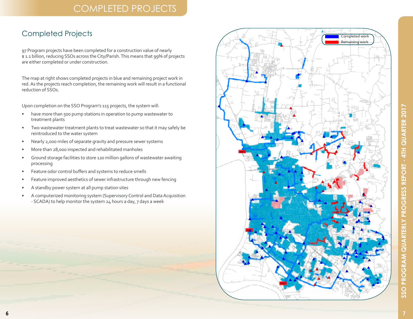#### COMPLETED PROJECTS

#### Completed Projects

97 Program projects have been completed for a construction value of nearly \$1.1 billion, reducing SSOs across the City/Parish. This means that 99% of projects are either completed or under construction.

The map at right shows completed projects in blue and remaining project work in red. As the projects reach completion, the remaining work will result in a functional reduction of SSOs.

Upon completion on the SSO Program's 115 projects, the system will:

- have more than 500 pump stations in operation to pump wastewater to treatment plants
- Two wastewater treatment plants to treat wastewater so that it may safely be reintroduced to the water system
- Nearly 2,000 miles of separate gravity and pressure sewer systems
- More than 28,000 inspected and rehabilitated manholes
- Ground storage facilities to store 120 million gallons of wastewater awaiting processing
- Feature odor control buffers and systems to reduce smells
- Feature improved aesthetics of sewer infrastructure through new fencing
- A standby power system at all pump station sites
- A computerized monitoring system (Supervisory Control and Data Acquisition - SCADA) to help monitor the system 24 hours a day, 7 days a week